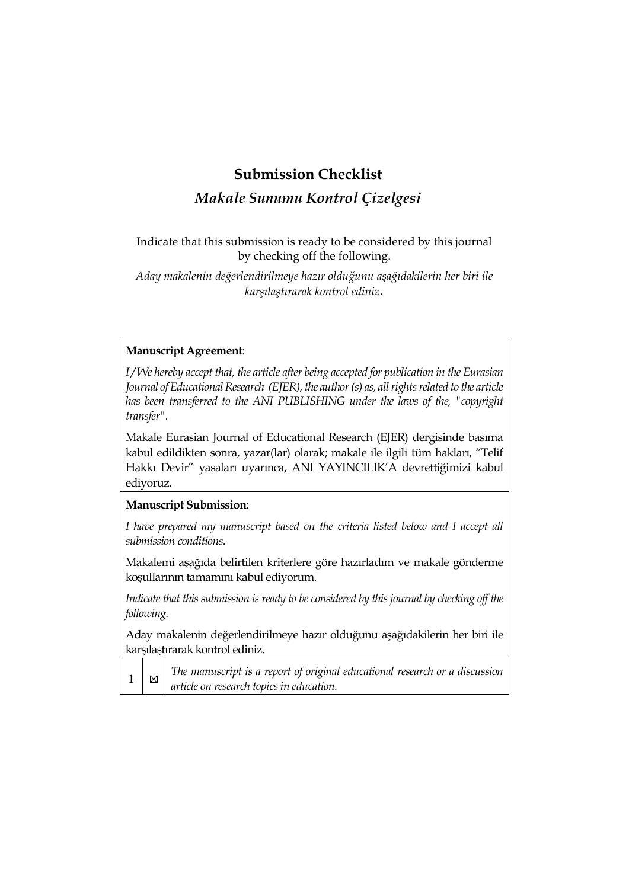# **Submission Checklist**

# *Makale Sunumu Kontrol Çizelgesi*

Indicate that this submission is ready to be considered by this journal by checking off the following.

*Aday makalenin değerlendirilmeye hazır olduğunu aşağıdakilerin her biri ile karşılaştırarak kontrol ediniz.* 

## **Manuscript Agreement**:

*I / We hereby accept that, the article after being accepted for publication in the Eurasian Journal of Educational Research (EJER), the author (s) as, all rights related to the article has been transferred to the ANI PUBLISHING under the laws of the, "copyright transfer".* 

Makale Eurasian Journal of Educational Research (EJER) dergisinde basıma kabul edildikten sonra, yazar(lar) olarak; makale ile ilgili tüm hakları, "Telif Hakkı Devir" yasaları uyarınca, ANI YAYINCILIK'A devrettiğimizi kabul ediyoruz.

### **Manuscript Submission**:

I have prepared my manuscript based on the criteria listed below and I accept all *submission conditions.*

Makalemi aşağıda belirtilen kriterlere göre hazırladım ve makale gönderme koşullarının tamamını kabul ediyorum.

*Indicate that this submission is ready to be considered by this journal by checking off the following.*

Aday makalenin değerlendirilmeye hazır olduğunu aşağıdakilerin her biri ile karşılaştırarak kontrol ediniz.

*The manuscript is a report of original educational research or a discussion*   $\boxtimes$ 1 *article on research topics in education.*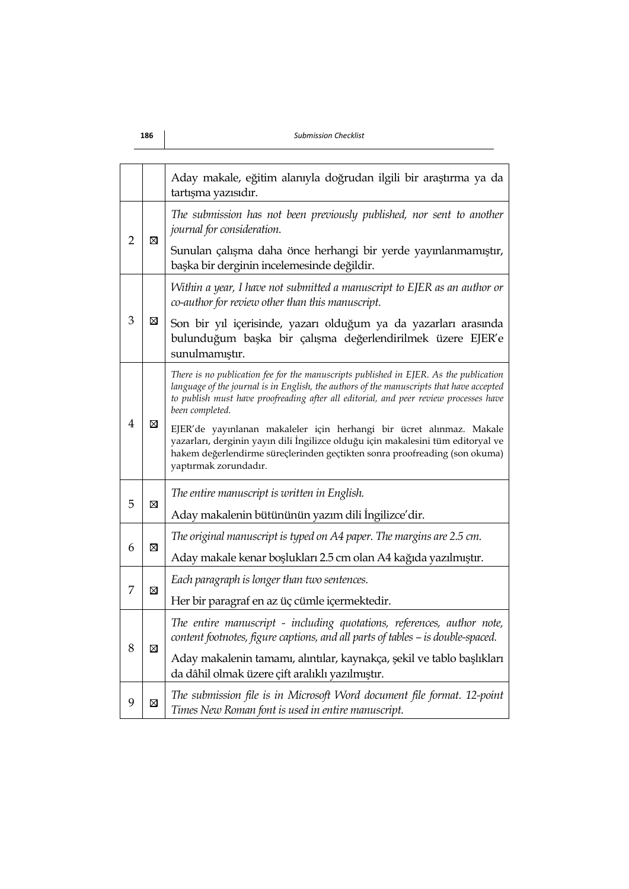#### **186** *Submission Checklist*

|                |             | Aday makale, eğitim alanıyla doğrudan ilgili bir araştırma ya da<br>tartışma yazısıdır.                                                                                                                                                                                                       |  |
|----------------|-------------|-----------------------------------------------------------------------------------------------------------------------------------------------------------------------------------------------------------------------------------------------------------------------------------------------|--|
|                | ⊠           | The submission has not been previously published, nor sent to another<br>journal for consideration.                                                                                                                                                                                           |  |
| $\overline{2}$ |             | Sunulan çalışma daha önce herhangi bir yerde yayınlanmamıştır,<br>başka bir derginin incelemesinde değildir.                                                                                                                                                                                  |  |
|                | ⊠           | Within a year, I have not submitted a manuscript to EJER as an author or<br>co-author for review other than this manuscript.                                                                                                                                                                  |  |
| 3              |             | Son bir yıl içerisinde, yazarı olduğum ya da yazarları arasında<br>bulunduğum başka bir çalışma değerlendirilmek üzere EJER'e<br>sunulmamıştır.                                                                                                                                               |  |
| $\overline{4}$ | ⊠           | There is no publication fee for the manuscripts published in EJER. As the publication<br>language of the journal is in English, the authors of the manuscripts that have accepted<br>to publish must have proofreading after all editorial, and peer review processes have<br>been completed. |  |
|                |             | EJER'de yayınlanan makaleler için herhangi bir ücret alınmaz. Makale<br>yazarları, derginin yayın dili İngilizce olduğu için makalesini tüm editoryal ve<br>hakem değerlendirme süreçlerinden geçtikten sonra proofreading (son okuma)<br>yaptırmak zorundadır.                               |  |
|                |             | The entire manuscript is written in English.                                                                                                                                                                                                                                                  |  |
| 5              | ⊠           | Aday makalenin bütününün yazım dili İngilizce'dir.                                                                                                                                                                                                                                            |  |
|                | $\boxtimes$ | The original manuscript is typed on A4 paper. The margins are 2.5 cm.                                                                                                                                                                                                                         |  |
| 6              |             | Aday makale kenar boşlukları 2.5 cm olan A4 kağıda yazılmıştır.                                                                                                                                                                                                                               |  |
| 7              | ⊠           | Each paragraph is longer than two sentences.                                                                                                                                                                                                                                                  |  |
|                |             | Her bir paragraf en az üç cümle içermektedir.                                                                                                                                                                                                                                                 |  |
|                | ⊠           | The entire manuscript - including quotations, references, author note,<br>content footnotes, figure captions, and all parts of tables - is double-spaced.                                                                                                                                     |  |
| 8              |             | Aday makalenin tamamı, alıntılar, kaynakça, şekil ve tablo başlıkları<br>da dâhil olmak üzere çift aralıklı yazılmıştır.                                                                                                                                                                      |  |
| 9              | ⊠           | The submission file is in Microsoft Word document file format. 12-point<br>Times New Roman font is used in entire manuscript.                                                                                                                                                                 |  |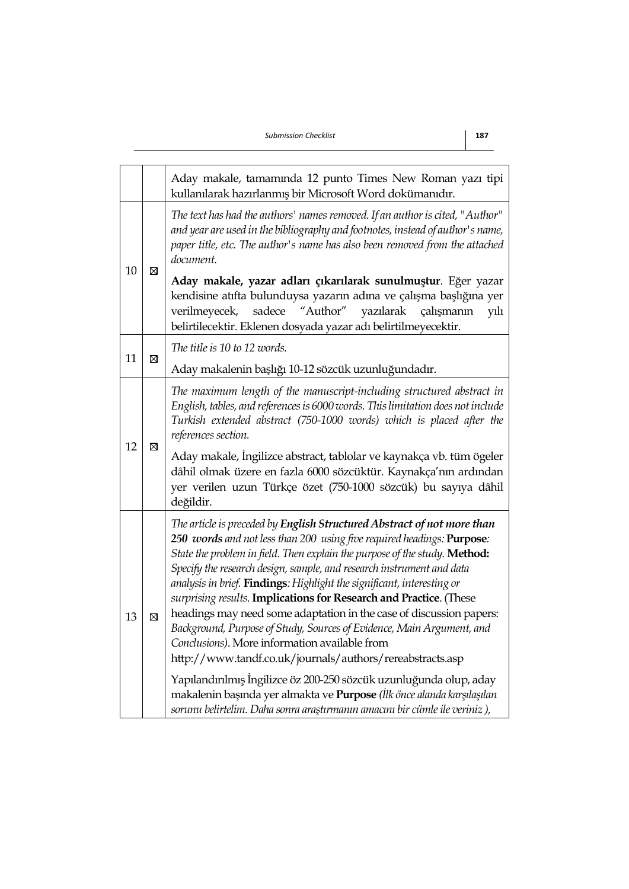|    |                                                                                                                                                                                                                                                                                                                                                                                                                                                                                                                                                                                                                                                                                                                                                                                                                                                                                                                                                                     | Aday makale, tamamında 12 punto Times New Roman yazı tipi<br>kullanılarak hazırlanmış bir Microsoft Word dokümanıdır.                                                                                                                                                                                                                                                                                                                                                 |  |  |
|----|---------------------------------------------------------------------------------------------------------------------------------------------------------------------------------------------------------------------------------------------------------------------------------------------------------------------------------------------------------------------------------------------------------------------------------------------------------------------------------------------------------------------------------------------------------------------------------------------------------------------------------------------------------------------------------------------------------------------------------------------------------------------------------------------------------------------------------------------------------------------------------------------------------------------------------------------------------------------|-----------------------------------------------------------------------------------------------------------------------------------------------------------------------------------------------------------------------------------------------------------------------------------------------------------------------------------------------------------------------------------------------------------------------------------------------------------------------|--|--|
|    | $\boxtimes$                                                                                                                                                                                                                                                                                                                                                                                                                                                                                                                                                                                                                                                                                                                                                                                                                                                                                                                                                         | The text has had the authors' names removed. If an author is cited, "Author"<br>and year are used in the bibliography and footnotes, instead of author's name,<br>paper title, etc. The author's name has also been removed from the attached<br>document.                                                                                                                                                                                                            |  |  |
| 10 |                                                                                                                                                                                                                                                                                                                                                                                                                                                                                                                                                                                                                                                                                                                                                                                                                                                                                                                                                                     | Aday makale, yazar adları çıkarılarak sunulmuştur. Eğer yazar<br>kendisine atıfta bulunduysa yazarın adına ve çalışma başlığına yer<br>"Author"<br>verilmeyecek,<br>sadece<br>yazılarak<br>çalışmanın<br>yılı<br>belirtilecektir. Eklenen dosyada yazar adı belirtilmeyecektir.                                                                                                                                                                                       |  |  |
| 11 | ⊠                                                                                                                                                                                                                                                                                                                                                                                                                                                                                                                                                                                                                                                                                                                                                                                                                                                                                                                                                                   | The title is 10 to 12 words.                                                                                                                                                                                                                                                                                                                                                                                                                                          |  |  |
|    |                                                                                                                                                                                                                                                                                                                                                                                                                                                                                                                                                                                                                                                                                                                                                                                                                                                                                                                                                                     | Aday makalenin başlığı 10-12 sözcük uzunluğundadır.                                                                                                                                                                                                                                                                                                                                                                                                                   |  |  |
| 12 | ⊠                                                                                                                                                                                                                                                                                                                                                                                                                                                                                                                                                                                                                                                                                                                                                                                                                                                                                                                                                                   | The maximum length of the manuscript-including structured abstract in<br>English, tables, and references is 6000 words. This limitation does not include<br>Turkish extended abstract (750-1000 words) which is placed after the<br>references section.<br>Aday makale, İngilizce abstract, tablolar ve kaynakça vb. tüm ögeler<br>dâhil olmak üzere en fazla 6000 sözcüktür. Kaynakça'nın ardından<br>yer verilen uzun Türkçe özet (750-1000 sözcük) bu sayıya dâhil |  |  |
|    |                                                                                                                                                                                                                                                                                                                                                                                                                                                                                                                                                                                                                                                                                                                                                                                                                                                                                                                                                                     | değildir.                                                                                                                                                                                                                                                                                                                                                                                                                                                             |  |  |
| 13 | The article is preceded by English Structured Abstract of not more than<br>250 words and not less than 200 using five required headings: Purpose:<br>State the problem in field. Then explain the purpose of the study. Method:<br>Specify the research design, sample, and research instrument and data<br>analysis in brief. Findings: Highlight the significant, interesting or<br>surprising results. Implications for Research and Practice. (These<br>headings may need some adaptation in the case of discussion papers:<br>$\boxtimes$<br>Background, Purpose of Study, Sources of Evidence, Main Argument, and<br>Conclusions). More information available from<br>http://www.tandf.co.uk/journals/authors/rereabstracts.asp<br>Yapılandırılmış İngilizce öz 200-250 sözcük uzunluğunda olup, aday<br>makalenin başında yer almakta ve Purpose (İlk önce alanda karşılaşılan<br>sorunu belirtelim. Daha sonra araştırmanın amacını bir cümle ile veriniz), |                                                                                                                                                                                                                                                                                                                                                                                                                                                                       |  |  |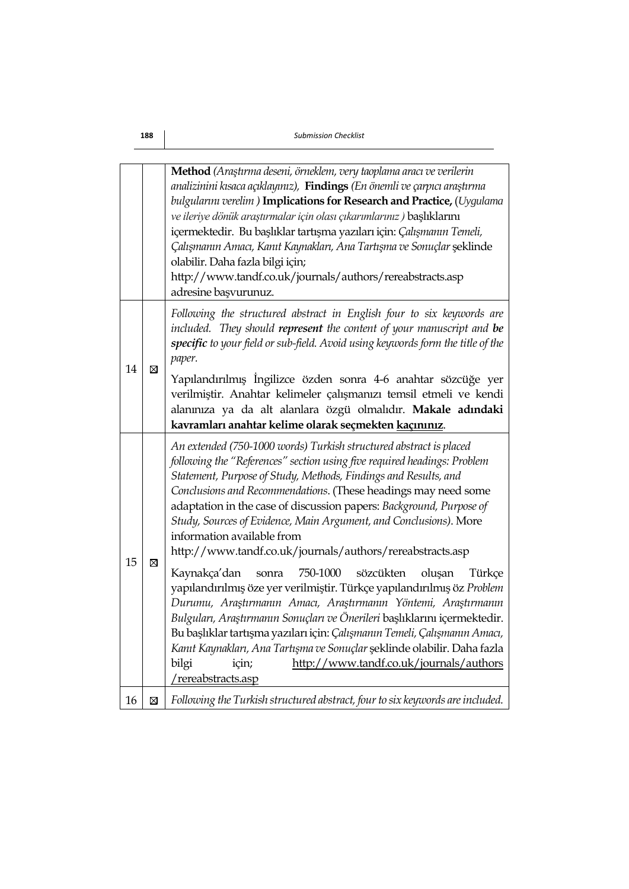|    |             | Method (Araştırma deseni, örneklem, very taoplama aracı ve verilerin<br>analizinini kısaca açıklayınız), Findings (En önemli ve çarpıcı araştırma<br>bulgularını verelim) Implications for Research and Practice, (Uygulama<br>ve ileriye dönük araştırmalar için olası çıkarımlarınız) başlıklarını<br>içermektedir. Bu başlıklar tartışma yazıları için: Çalışmanın Temeli,<br>Çalışmanın Amacı, Kanıt Kaynakları, Ana Tartışma ve Sonuçlar şeklinde<br>olabilir. Daha fazla bilgi için;<br>http://www.tandf.co.uk/journals/authors/rereabstracts.asp<br>adresine başvurunuz. |  |
|----|-------------|---------------------------------------------------------------------------------------------------------------------------------------------------------------------------------------------------------------------------------------------------------------------------------------------------------------------------------------------------------------------------------------------------------------------------------------------------------------------------------------------------------------------------------------------------------------------------------|--|
| 14 | $\boxtimes$ | Following the structured abstract in English four to six keywords are<br>included. They should represent the content of your manuscript and be<br>specific to your field or sub-field. Avoid using keywords form the title of the<br>paper.<br>Yapılandırılmış İngilizce özden sonra 4-6 anahtar sözcüğe yer<br>verilmiştir. Anahtar kelimeler çalışmanızı temsil etmeli ve kendi                                                                                                                                                                                               |  |
|    |             | alanınıza ya da alt alanlara özgü olmalıdır. Makale adındaki<br>kavramları anahtar kelime olarak seçmekten kaçınınız.                                                                                                                                                                                                                                                                                                                                                                                                                                                           |  |
| 15 | ⊠           | An extended (750-1000 words) Turkish structured abstract is placed<br>following the "References" section using five required headings: Problem<br>Statement, Purpose of Study, Methods, Findings and Results, and<br>Conclusions and Recommendations. (These headings may need some<br>adaptation in the case of discussion papers: Background, Purpose of<br>Study, Sources of Evidence, Main Argument, and Conclusions). More<br>information available from<br>http://www.tandf.co.uk/journals/authors/rereabstracts.asp                                                      |  |
|    |             | 750-1000<br>sözcükten<br>Kaynakça'dan<br>oluşan<br>Türkçe<br>sonra<br>yapılandırılmış öze yer verilmiştir. Türkçe yapılandırılmış öz Problem<br>Durumu, Araştırmanın Amacı, Araştırmanın Yöntemi, Araştırmanın<br>Bulguları, Araştırmanın Sonuçları ve Önerileri başlıklarını içermektedir.<br>Bu başlıklar tartışma yazıları için: Çalışmanın Temeli, Çalışmanın Amacı,<br>Kanıt Kaynakları, Ana Tartışma ve Sonuçlar şeklinde olabilir. Daha fazla<br>bilgi<br>http://www.tandf.co.uk/journals/authors<br>için;<br>/rereabstracts.asp                                         |  |
| 16 | $\boxtimes$ | Following the Turkish structured abstract, four to six keywords are included.                                                                                                                                                                                                                                                                                                                                                                                                                                                                                                   |  |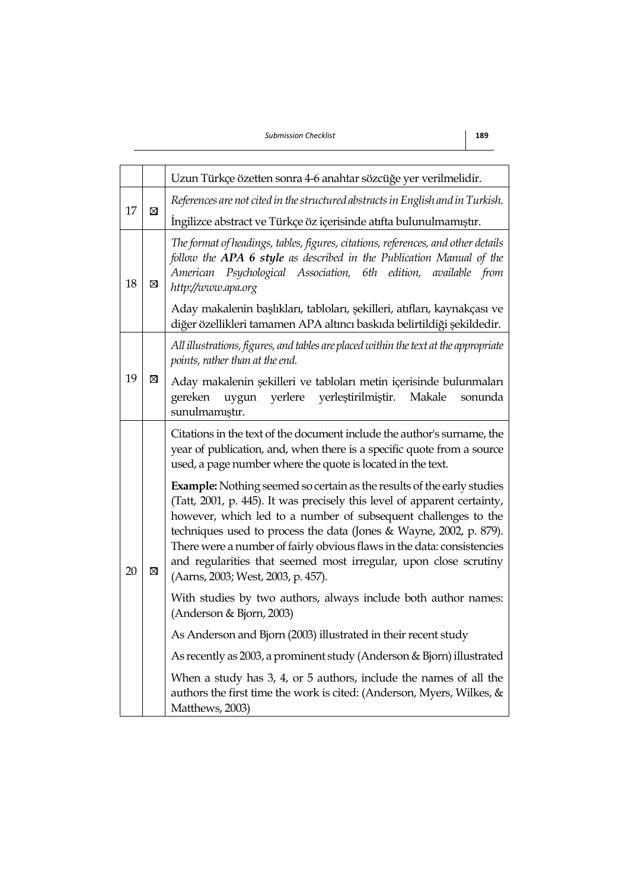*Submission Checklist* **189**

|    |   | Uzun Türkçe özetten sonra 4-6 anahtar sözcüğe yer verilmelidir.                                                                                                                                                                                                                                                                                                                                                                                                                       |  |
|----|---|---------------------------------------------------------------------------------------------------------------------------------------------------------------------------------------------------------------------------------------------------------------------------------------------------------------------------------------------------------------------------------------------------------------------------------------------------------------------------------------|--|
|    | ⊠ | References are not cited in the structured abstracts in English and in Turkish.                                                                                                                                                                                                                                                                                                                                                                                                       |  |
| 17 |   | Ingilizce abstract ve Türkçe öz içerisinde atıfta bulunulmamıştır.                                                                                                                                                                                                                                                                                                                                                                                                                    |  |
| 18 | ⊠ | The format of headings, tables, figures, citations, references, and other details<br>follow the APA 6 style as described in the Publication Manual of the<br>American Psychological Association, 6th edition,<br>available from<br>http://www.apa.org                                                                                                                                                                                                                                 |  |
|    |   | Aday makalenin başlıkları, tabloları, şekilleri, atıfları, kaynakçası ve<br>diğer özellikleri tamamen APA altıncı baskıda belirtildiği şekildedir.                                                                                                                                                                                                                                                                                                                                    |  |
|    | ⊠ | All illustrations, figures, and tables are placed within the text at the appropriate<br>points, rather than at the end.                                                                                                                                                                                                                                                                                                                                                               |  |
| 19 |   | Aday makalenin şekilleri ve tabloları metin içerisinde bulunmaları<br>yerlere<br>yerleştirilmiştir.<br>gereken<br>uygun<br>Makale<br>sonunda<br>sunulmamıştır.                                                                                                                                                                                                                                                                                                                        |  |
| 20 | ⊠ | Citations in the text of the document include the author's surname, the<br>year of publication, and, when there is a specific quote from a source<br>used, a page number where the quote is located in the text.                                                                                                                                                                                                                                                                      |  |
|    |   | <b>Example:</b> Nothing seemed so certain as the results of the early studies<br>(Tatt, 2001, p. 445). It was precisely this level of apparent certainty,<br>however, which led to a number of subsequent challenges to the<br>techniques used to process the data (Jones & Wayne, 2002, p. 879).<br>There were a number of fairly obvious flaws in the data: consistencies<br>and regularities that seemed most irregular, upon close scrutiny<br>(Aarns, 2003; West, 2003, p. 457). |  |
|    |   | With studies by two authors, always include both author names:<br>(Anderson & Bjorn, 2003)                                                                                                                                                                                                                                                                                                                                                                                            |  |
|    |   | As Anderson and Bjorn (2003) illustrated in their recent study                                                                                                                                                                                                                                                                                                                                                                                                                        |  |
|    |   | As recently as 2003, a prominent study (Anderson & Bjorn) illustrated                                                                                                                                                                                                                                                                                                                                                                                                                 |  |
|    |   | When a study has 3, 4, or 5 authors, include the names of all the<br>authors the first time the work is cited: (Anderson, Myers, Wilkes, $\&$<br>Matthews, 2003)                                                                                                                                                                                                                                                                                                                      |  |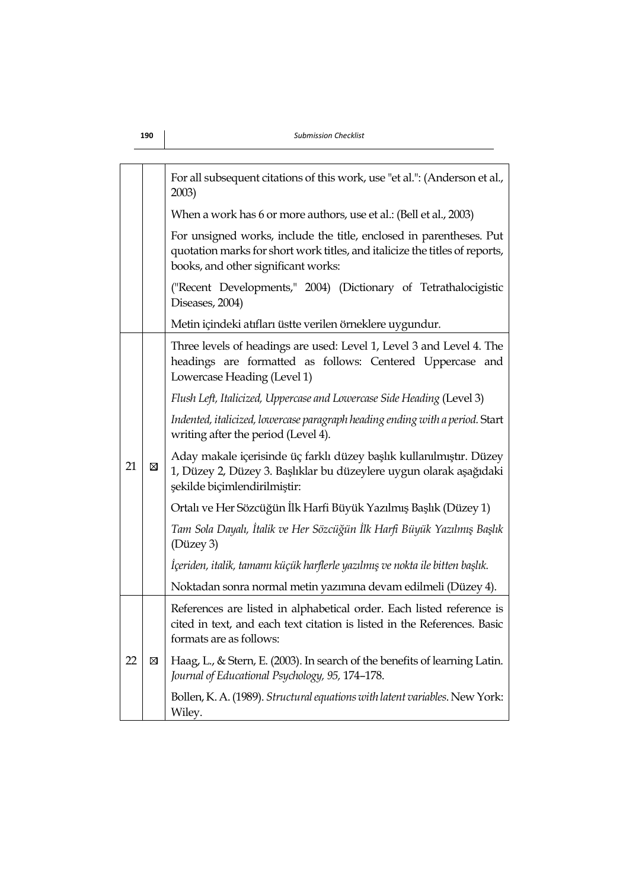|                                                                                                                                                                                           |   | For all subsequent citations of this work, use "et al.": (Anderson et al.,<br>2003)                                                                                          |  |
|-------------------------------------------------------------------------------------------------------------------------------------------------------------------------------------------|---|------------------------------------------------------------------------------------------------------------------------------------------------------------------------------|--|
|                                                                                                                                                                                           |   | When a work has 6 or more authors, use et al.: (Bell et al., 2003)                                                                                                           |  |
| For unsigned works, include the title, enclosed in parentheses. Put<br>quotation marks for short work titles, and italicize the titles of reports,<br>books, and other significant works: |   |                                                                                                                                                                              |  |
|                                                                                                                                                                                           |   | ("Recent Developments," 2004) (Dictionary of Tetrathalocigistic<br>Diseases, 2004)                                                                                           |  |
|                                                                                                                                                                                           |   | Metin içindeki atıfları üstte verilen örneklere uygundur.                                                                                                                    |  |
|                                                                                                                                                                                           | ⊠ | Three levels of headings are used: Level 1, Level 3 and Level 4. The<br>headings are formatted as follows: Centered Uppercase and<br>Lowercase Heading (Level 1)             |  |
|                                                                                                                                                                                           |   | Flush Left, Italicized, Uppercase and Lowercase Side Heading (Level 3)                                                                                                       |  |
|                                                                                                                                                                                           |   | Indented, italicized, lowercase paragraph heading ending with a period. Start<br>writing after the period (Level 4).                                                         |  |
| 21                                                                                                                                                                                        |   | Aday makale içerisinde üç farklı düzey başlık kullanılmıştır. Düzey<br>1, Düzey 2, Düzey 3. Başlıklar bu düzeylere uygun olarak aşağıdaki<br>şekilde biçimlendirilmiştir:    |  |
|                                                                                                                                                                                           |   | Ortalı ve Her Sözcüğün İlk Harfi Büyük Yazılmış Başlık (Düzey 1)                                                                                                             |  |
|                                                                                                                                                                                           |   | Tam Sola Dayalı, İtalik ve Her Sözcüğün İlk Harfi Büyük Yazılmış Başlık<br>(Düzey 3)                                                                                         |  |
|                                                                                                                                                                                           |   | İçeriden, italik, tamamı küçük harflerle yazılmış ve nokta ile bitten başlık.                                                                                                |  |
|                                                                                                                                                                                           |   | Noktadan sonra normal metin yazımına devam edilmeli (Düzey 4).                                                                                                               |  |
|                                                                                                                                                                                           | ⊠ | References are listed in alphabetical order. Each listed reference is<br>cited in text, and each text citation is listed in the References. Basic<br>formats are as follows: |  |
| 22                                                                                                                                                                                        |   | Haag, L., & Stern, E. (2003). In search of the benefits of learning Latin.<br>Journal of Educational Psychology, 95, 174-178.                                                |  |
|                                                                                                                                                                                           |   | Bollen, K. A. (1989). Structural equations with latent variables. New York:<br>Wiley.                                                                                        |  |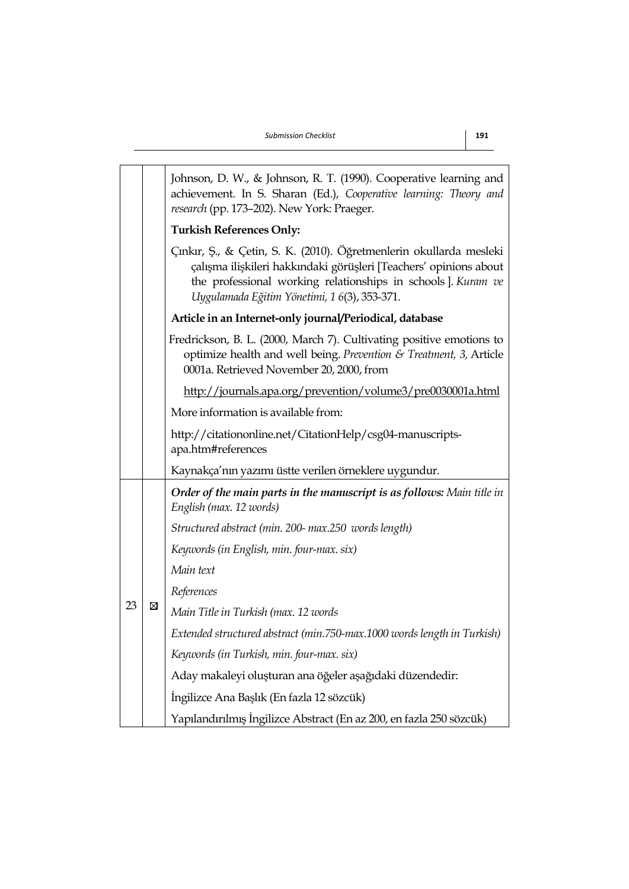| research (pp. 173-202). New York: Praeger. |   | Johnson, D. W., & Johnson, R. T. (1990). Cooperative learning and<br>achievement. In S. Sharan (Ed.), Cooperative learning: Theory and                                                                                                                   |
|--------------------------------------------|---|----------------------------------------------------------------------------------------------------------------------------------------------------------------------------------------------------------------------------------------------------------|
|                                            |   | <b>Turkish References Only:</b>                                                                                                                                                                                                                          |
|                                            |   | Çınkır, Ş., & Çetin, S. K. (2010). Öğretmenlerin okullarda mesleki<br>çalışma ilişkileri hakkındaki görüşleri [Teachers' opinions about<br>the professional working relationships in schools ]. Kuram ve<br>Uygulamada Eğitim Yönetimi, 1 6(3), 353-371. |
|                                            |   | Article in an Internet-only journal/Periodical, database                                                                                                                                                                                                 |
|                                            |   | Fredrickson, B. L. (2000, March 7). Cultivating positive emotions to<br>optimize health and well being. Prevention & Treatment, 3, Article<br>0001a. Retrieved November 20, 2000, from                                                                   |
|                                            |   | http://journals.apa.org/prevention/volume3/pre0030001a.html                                                                                                                                                                                              |
|                                            |   | More information is available from:                                                                                                                                                                                                                      |
|                                            |   | http://citationonline.net/CitationHelp/csg04-manuscripts-<br>apa.htm#references                                                                                                                                                                          |
|                                            |   | Kaynakça'nın yazımı üstte verilen örneklere uygundur.                                                                                                                                                                                                    |
|                                            |   | Order of the main parts in the manuscript is as follows: Main title in<br>English (max. 12 words)                                                                                                                                                        |
|                                            |   | Structured abstract (min. 200- max.250 words length)                                                                                                                                                                                                     |
|                                            |   | Keywords (in English, min. four-max. six)                                                                                                                                                                                                                |
|                                            |   | Main text                                                                                                                                                                                                                                                |
| 23                                         |   | References                                                                                                                                                                                                                                               |
|                                            | ⊠ | Main Title in Turkish (max. 12 words                                                                                                                                                                                                                     |
|                                            |   | Extended structured abstract (min.750-max.1000 words length in Turkish)                                                                                                                                                                                  |
|                                            |   | Keywords (in Turkish, min. four-max. six)                                                                                                                                                                                                                |
|                                            |   | Aday makaleyi oluşturan ana öğeler aşağıdaki düzendedir:                                                                                                                                                                                                 |
|                                            |   | İngilizce Ana Başlık (En fazla 12 sözcük)                                                                                                                                                                                                                |
|                                            |   | Yapılandırılmış İngilizce Abstract (En az 200, en fazla 250 sözcük)                                                                                                                                                                                      |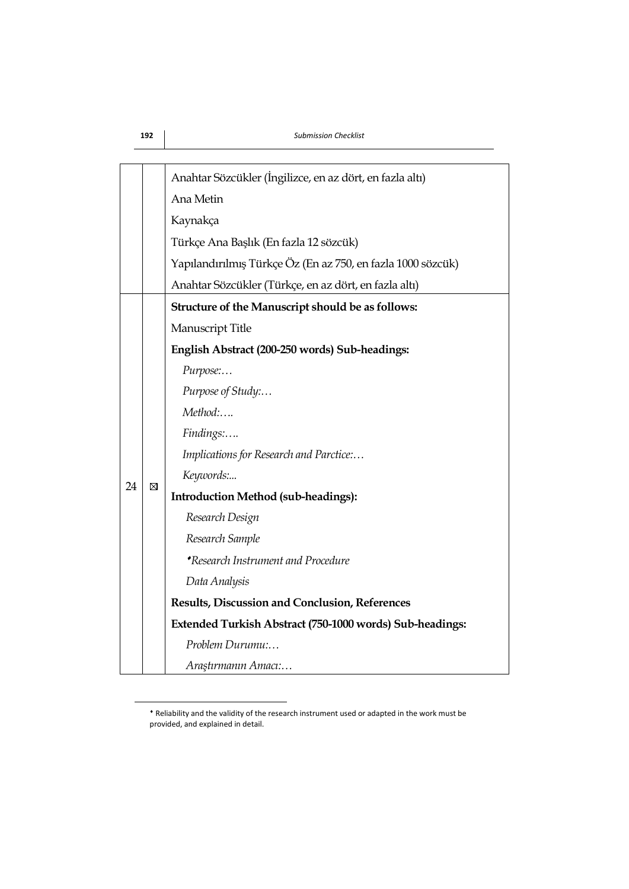|    |   | Anahtar Sözcükler (İngilizce, en az dört, en fazla altı)    |
|----|---|-------------------------------------------------------------|
|    |   | Ana Metin                                                   |
|    |   | Kaynakça                                                    |
|    |   | Türkçe Ana Başlık (En fazla 12 sözcük)                      |
|    |   | Yapılandırılmış Türkçe Öz (En az 750, en fazla 1000 sözcük) |
|    |   | Anahtar Sözcükler (Türkçe, en az dört, en fazla altı)       |
|    |   | Structure of the Manuscript should be as follows:           |
|    |   | Manuscript Title                                            |
|    |   | English Abstract (200-250 words) Sub-headings:              |
|    |   | Purpose:                                                    |
|    |   | Purpose of Study:                                           |
|    |   | Method:                                                     |
|    |   | Findings:                                                   |
|    |   | Implications for Research and Parctice:                     |
| 24 | ⊠ | Keywords:                                                   |
|    |   | <b>Introduction Method (sub-headings):</b>                  |
|    |   | Research Design                                             |
|    |   | Research Sample                                             |
|    |   | *Research Instrument and Procedure                          |
|    |   | Data Analysis                                               |
|    |   | Results, Discussion and Conclusion, References              |
|    |   | Extended Turkish Abstract (750-1000 words) Sub-headings:    |
|    |   | Problem Durumu:                                             |
|    |   | Araştırmanın Amacı:                                         |

Reliability and the validity of the research instrument used or adapted in the work must be provided, and explained in detail.

1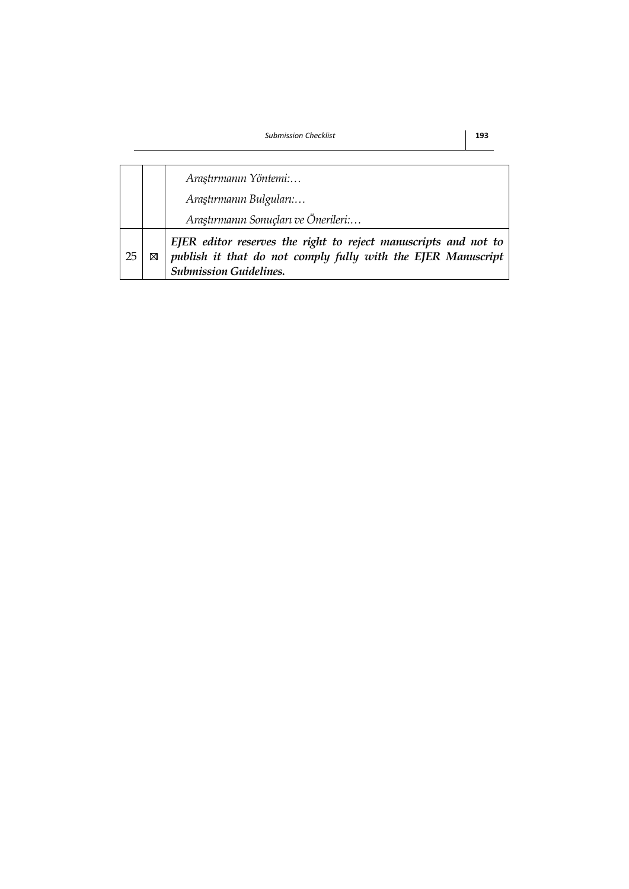|    |                         | Araştırmanın Yöntemi:                                                                                                                                            |  |  |
|----|-------------------------|------------------------------------------------------------------------------------------------------------------------------------------------------------------|--|--|
|    | Araştırmanın Bulguları: |                                                                                                                                                                  |  |  |
|    |                         | Araştırmanın Sonuçları ve Önerileri:                                                                                                                             |  |  |
| 25 |                         | EJER editor reserves the right to reject manuscripts and not to<br>publish it that do not comply fully with the EJER Manuscript<br><b>Submission Guidelines.</b> |  |  |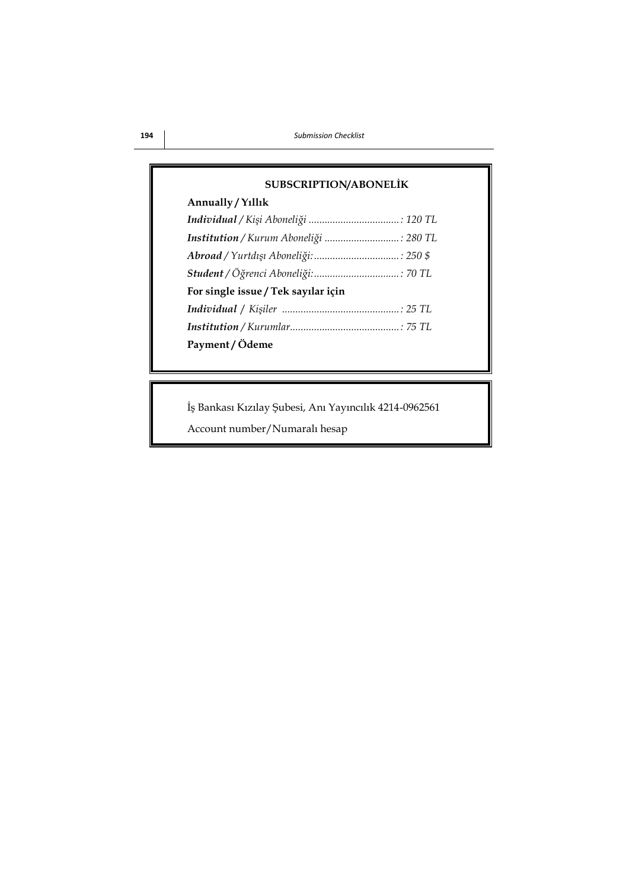| <b>SUBSCRIPTION/ABONELİK</b>          |  |
|---------------------------------------|--|
| Annually / Yillik                     |  |
|                                       |  |
| Institution / Kurum Aboneliği  280 TL |  |
|                                       |  |
|                                       |  |
| For single issue / Tek sayılar için   |  |
|                                       |  |
|                                       |  |
| Payment / Ödeme                       |  |

İş Bankası Kızılay Şubesi, Anı Yayıncılık 4214-0962561

Account number/Numaralı hesap